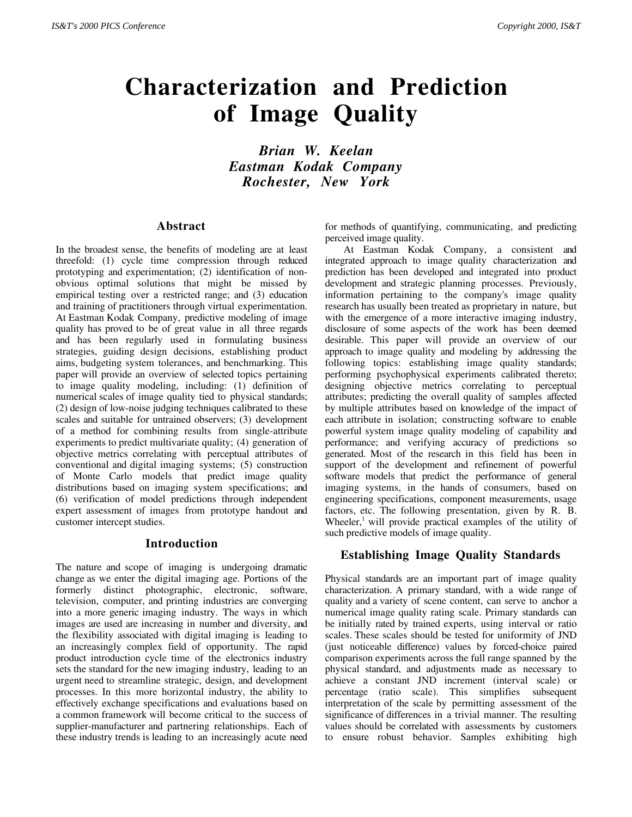# **Characterization and Prediction of Image Quality**

*Brian W. Keelan Eastman Kodak Company Rochester, New York*

#### **Abstract**

In the broadest sense, the benefits of modeling are at least threefold: (1) cycle time compression through reduced prototyping and experimentation; (2) identification of nonobvious optimal solutions that might be missed by empirical testing over a restricted range; and (3) education and training of practitioners through virtual experimentation. At Eastman Kodak Company, predictive modeling of image quality has proved to be of great value in all three regards and has been regularly used in formulating business strategies, guiding design decisions, establishing product aims, budgeting system tolerances, and benchmarking. This paper will provide an overview of selected topics pertaining to image quality modeling, including: (1) definition of numerical scales of image quality tied to physical standards; (2) design of low-noise judging techniques calibrated to these scales and suitable for untrained observers; (3) development of a method for combining results from single-attribute experiments to predict multivariate quality; (4) generation of objective metrics correlating with perceptual attributes of conventional and digital imaging systems; (5) construction of Monte Carlo models that predict image quality distributions based on imaging system specifications; and (6) verification of model predictions through independent expert assessment of images from prototype handout and customer intercept studies.

#### **Introduction**

The nature and scope of imaging is undergoing dramatic change as we enter the digital imaging age. Portions of the formerly distinct photographic, electronic, software, television, computer, and printing industries are converging into a more generic imaging industry. The ways in which images are used are increasing in number and diversity, and the flexibility associated with digital imaging is leading to an increasingly complex field of opportunity. The rapid product introduction cycle time of the electronics industry sets the standard for the new imaging industry, leading to an urgent need to streamline strategic, design, and development processes. In this more horizontal industry, the ability to effectively exchange specifications and evaluations based on a common framework will become critical to the success of supplier-manufacturer and partnering relationships. Each of these industry trends is leading to an increasingly acute need

for methods of quantifying, communicating, and predicting perceived image quality.

At Eastman Kodak Company, a consistent and integrated approach to image quality characterization and prediction has been developed and integrated into product development and strategic planning processes. Previously, information pertaining to the company's image quality research has usually been treated as proprietary in nature, but with the emergence of a more interactive imaging industry, disclosure of some aspects of the work has been deemed desirable. This paper will provide an overview of our approach to image quality and modeling by addressing the following topics: establishing image quality standards; performing psychophysical experiments calibrated thereto; designing objective metrics correlating to perceptual attributes; predicting the overall quality of samples affected by multiple attributes based on knowledge of the impact of each attribute in isolation; constructing software to enable powerful system image quality modeling of capability and performance; and verifying accuracy of predictions so generated. Most of the research in this field has been in support of the development and refinement of powerful software models that predict the performance of general imaging systems, in the hands of consumers, based on engineering specifications, component measurements, usage factors, etc. The following presentation, given by R. B. Wheeler,<sup>1</sup> will provide practical examples of the utility of such predictive models of image quality.

# **Establishing Image Quality Standards**

Physical standards are an important part of image quality characterization. A primary standard, with a wide range of quality and a variety of scene content, can serve to anchor a numerical image quality rating scale. Primary standards can be initially rated by trained experts, using interval or ratio scales. These scales should be tested for uniformity of JND (just noticeable difference) values by forced-choice paired comparison experiments across the full range spanned by the physical standard, and adjustments made as necessary to achieve a constant JND increment (interval scale) or percentage (ratio scale). This simplifies subsequent interpretation of the scale by permitting assessment of the significance of differences in a trivial manner. The resulting values should be correlated with assessments by customers to ensure robust behavior. Samples exhibiting high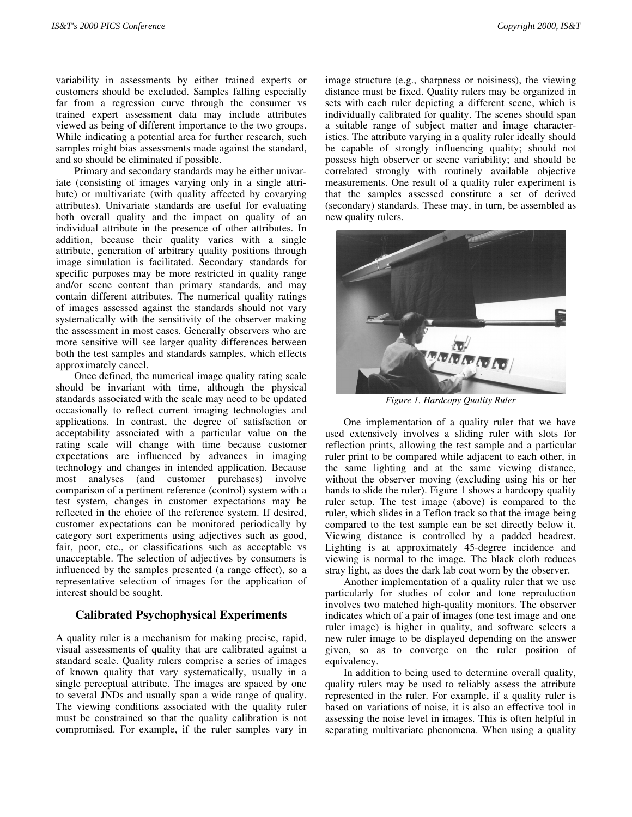variability in assessments by either trained experts or customers should be excluded. Samples falling especially far from a regression curve through the consumer vs trained expert assessment data may include attributes viewed as being of different importance to the two groups. While indicating a potential area for further research, such samples might bias assessments made against the standard, and so should be eliminated if possible.

Primary and secondary standards may be either univariate (consisting of images varying only in a single attribute) or multivariate (with quality affected by covarying attributes). Univariate standards are useful for evaluating both overall quality and the impact on quality of an individual attribute in the presence of other attributes. In addition, because their quality varies with a single attribute, generation of arbitrary quality positions through image simulation is facilitated. Secondary standards for specific purposes may be more restricted in quality range and/or scene content than primary standards, and may contain different attributes. The numerical quality ratings of images assessed against the standards should not vary systematically with the sensitivity of the observer making the assessment in most cases. Generally observers who are more sensitive will see larger quality differences between both the test samples and standards samples, which effects approximately cancel.

Once defined, the numerical image quality rating scale should be invariant with time, although the physical standards associated with the scale may need to be updated occasionally to reflect current imaging technologies and applications. In contrast, the degree of satisfaction or acceptability associated with a particular value on the rating scale will change with time because customer expectations are influenced by advances in imaging technology and changes in intended application. Because most analyses (and customer purchases) involve comparison of a pertinent reference (control) system with a test system, changes in customer expectations may be reflected in the choice of the reference system. If desired, customer expectations can be monitored periodically by category sort experiments using adjectives such as good, fair, poor, etc., or classifications such as acceptable vs unacceptable. The selection of adjectives by consumers is influenced by the samples presented (a range effect), so a representative selection of images for the application of interest should be sought.

## **Calibrated Psychophysical Experiments**

A quality ruler is a mechanism for making precise, rapid, visual assessments of quality that are calibrated against a standard scale. Quality rulers comprise a series of images of known quality that vary systematically, usually in a single perceptual attribute. The images are spaced by one to several JNDs and usually span a wide range of quality. The viewing conditions associated with the quality ruler must be constrained so that the quality calibration is not compromised. For example, if the ruler samples vary in image structure (e.g., sharpness or noisiness), the viewing distance must be fixed. Quality rulers may be organized in sets with each ruler depicting a different scene, which is individually calibrated for quality. The scenes should span a suitable range of subject matter and image characteristics. The attribute varying in a quality ruler ideally should be capable of strongly influencing quality; should not possess high observer or scene variability; and should be correlated strongly with routinely available objective measurements. One result of a quality ruler experiment is that the samples assessed constitute a set of derived (secondary) standards. These may, in turn, be assembled as new quality rulers.



*Figure 1. Hardcopy Quality Ruler*

One implementation of a quality ruler that we have used extensively involves a sliding ruler with slots for reflection prints, allowing the test sample and a particular ruler print to be compared while adjacent to each other, in the same lighting and at the same viewing distance, without the observer moving (excluding using his or her hands to slide the ruler). Figure 1 shows a hardcopy quality ruler setup. The test image (above) is compared to the ruler, which slides in a Teflon track so that the image being compared to the test sample can be set directly below it. Viewing distance is controlled by a padded headrest. Lighting is at approximately 45-degree incidence and viewing is normal to the image. The black cloth reduces stray light, as does the dark lab coat worn by the observer.

Another implementation of a quality ruler that we use particularly for studies of color and tone reproduction involves two matched high-quality monitors. The observer indicates which of a pair of images (one test image and one ruler image) is higher in quality, and software selects a new ruler image to be displayed depending on the answer given, so as to converge on the ruler position of equivalency.

In addition to being used to determine overall quality, quality rulers may be used to reliably assess the attribute represented in the ruler. For example, if a quality ruler is based on variations of noise, it is also an effective tool in assessing the noise level in images. This is often helpful in separating multivariate phenomena. When using a quality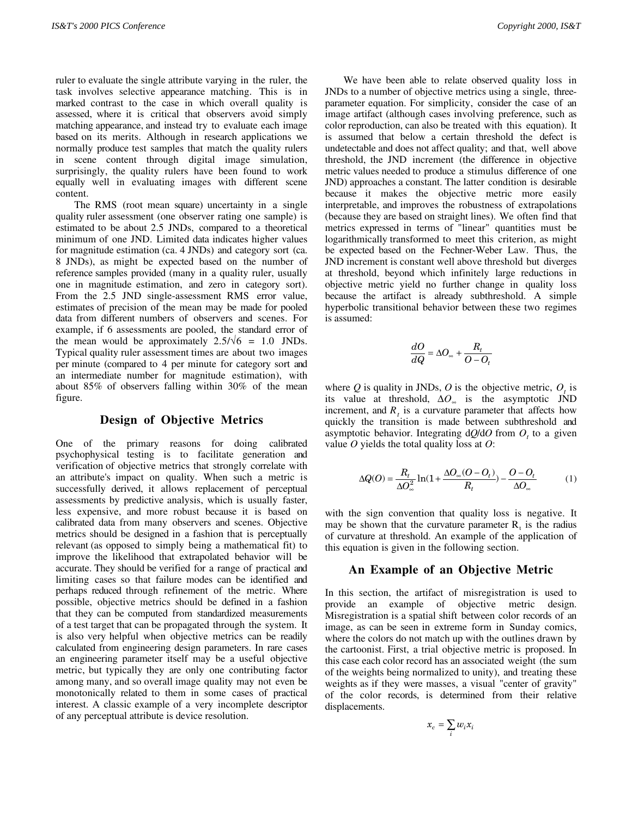ruler to evaluate the single attribute varying in the ruler, the task involves selective appearance matching. This is in marked contrast to the case in which overall quality is assessed, where it is critical that observers avoid simply matching appearance, and instead try to evaluate each image based on its merits. Although in research applications we normally produce test samples that match the quality rulers in scene content through digital image simulation, surprisingly, the quality rulers have been found to work equally well in evaluating images with different scene content.

The RMS (root mean square) uncertainty in a single quality ruler assessment (one observer rating one sample) is estimated to be about 2.5 JNDs, compared to a theoretical minimum of one JND. Limited data indicates higher values for magnitude estimation (ca. 4 JNDs) and category sort (ca. 8 JNDs), as might be expected based on the number of reference samples provided (many in a quality ruler, usually one in magnitude estimation, and zero in category sort). From the 2.5 JND single-assessment RMS error value, estimates of precision of the mean may be made for pooled data from different numbers of observers and scenes. For example, if 6 assessments are pooled, the standard error of the mean would be approximately  $2.5/\sqrt{6}$  = 1.0 JNDs. Typical quality ruler assessment times are about two images per minute (compared to 4 per minute for category sort and an intermediate number for magnitude estimation), with about 85% of observers falling within 30% of the mean figure.

#### **Design of Objective Metrics**

One of the primary reasons for doing calibrated psychophysical testing is to facilitate generation and verification of objective metrics that strongly correlate with an attribute's impact on quality. When such a metric is successfully derived, it allows replacement of perceptual assessments by predictive analysis, which is usually faster, less expensive, and more robust because it is based on calibrated data from many observers and scenes. Objective metrics should be designed in a fashion that is perceptually relevant (as opposed to simply being a mathematical fit) to improve the likelihood that extrapolated behavior will be accurate. They should be verified for a range of practical and limiting cases so that failure modes can be identified and perhaps reduced through refinement of the metric. Where possible, objective metrics should be defined in a fashion that they can be computed from standardized measurements of a test target that can be propagated through the system. It is also very helpful when objective metrics can be readily calculated from engineering design parameters. In rare cases an engineering parameter itself may be a useful objective metric, but typically they are only one contributing factor among many, and so overall image quality may not even be monotonically related to them in some cases of practical interest. A classic example of a very incomplete descriptor of any perceptual attribute is device resolution.

We have been able to relate observed quality loss in JNDs to a number of objective metrics using a single, threeparameter equation. For simplicity, consider the case of an image artifact (although cases involving preference, such as color reproduction, can also be treated with this equation). It is assumed that below a certain threshold the defect is undetectable and does not affect quality; and that, well above threshold, the JND increment (the difference in objective metric values needed to produce a stimulus difference of one JND) approaches a constant. The latter condition is desirable because it makes the objective metric more easily interpretable, and improves the robustness of extrapolations (because they are based on straight lines). We often find that metrics expressed in terms of "linear" quantities must be logarithmically transformed to meet this criterion, as might be expected based on the Fechner-Weber Law. Thus, the JND increment is constant well above threshold but diverges at threshold, beyond which infinitely large reductions in objective metric yield no further change in quality loss because the artifact is already subthreshold. A simple hyperbolic transitional behavior between these two regimes is assumed:

$$
\frac{dO}{dQ} = \Delta O_{\infty} + \frac{R_t}{O - O_t}
$$

where  $Q$  is quality in JNDs,  $O$  is the objective metric,  $O_t$  is its value at threshold,  $\Delta O_{\infty}$  is the asymptotic JND increment, and  $R_t$  is a curvature parameter that affects how quickly the transition is made between subthreshold and asymptotic behavior. Integrating  $dQ/dO$  from  $O_t$  to a given value *O* yields the total quality loss at *O*:

$$
\Delta Q(O) = \frac{R_t}{\Delta O_\infty^2} \ln(1 + \frac{\Delta O_\infty(O - O_t)}{R_t}) - \frac{O - O_t}{\Delta O_\infty} \tag{1}
$$

with the sign convention that quality loss is negative. It may be shown that the curvature parameter  $R_t$  is the radius of curvature at threshold. An example of the application of this equation is given in the following section.

#### **An Example of an Objective Metric**

In this section, the artifact of misregistration is used to provide an example of objective metric design. Misregistration is a spatial shift between color records of an image, as can be seen in extreme form in Sunday comics, where the colors do not match up with the outlines drawn by the cartoonist. First, a trial objective metric is proposed. In this case each color record has an associated weight (the sum of the weights being normalized to unity), and treating these weights as if they were masses, a visual "center of gravity" of the color records, is determined from their relative displacements.

$$
x_c = \sum_i w_i x_i
$$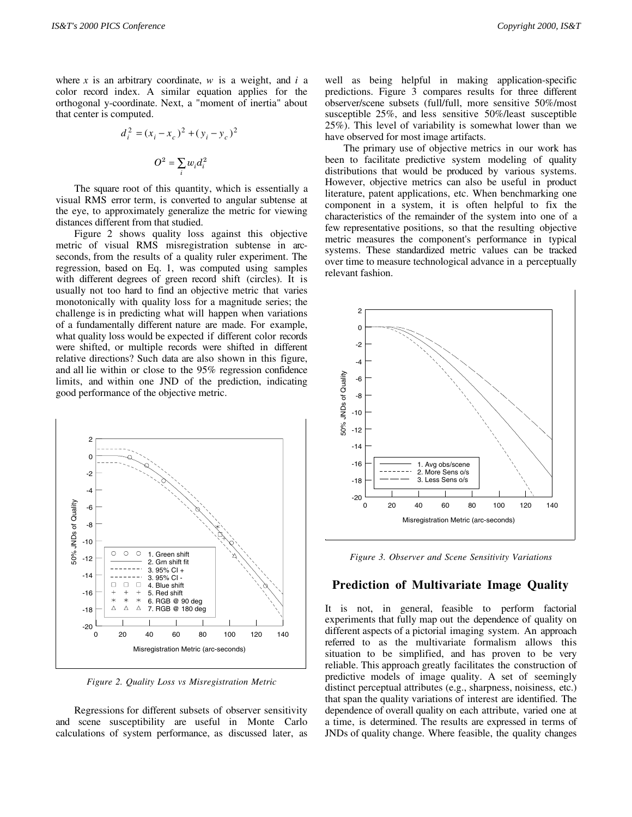where *x* is an arbitrary coordinate, *w* is a weight, and *i* a color record index. A similar equation applies for the orthogonal y-coordinate. Next, a "moment of inertia" about that center is computed.

$$
d_i^2 = (x_i - x_c)^2 + (y_i - y_c)^2
$$

$$
O^2 = \sum_i w_i d_i^2
$$

The square root of this quantity, which is essentially a visual RMS error term, is converted to angular subtense at the eye, to approximately generalize the metric for viewing distances different from that studied.

Figure 2 shows quality loss against this objective metric of visual RMS misregistration subtense in arcseconds, from the results of a quality ruler experiment. The regression, based on Eq. 1, was computed using samples with different degrees of green record shift (circles). It is usually not too hard to find an objective metric that varies monotonically with quality loss for a magnitude series; the challenge is in predicting what will happen when variations of a fundamentally different nature are made. For example, what quality loss would be expected if different color records were shifted, or multiple records were shifted in different relative directions? Such data are also shown in this figure, and all lie within or close to the 95% regression confidence limits, and within one JND of the prediction, indicating good performance of the objective metric.



*Figure 2. Quality Loss vs Misregistration Metric*

Regressions for different subsets of observer sensitivity and scene susceptibility are useful in Monte Carlo calculations of system performance, as discussed later, as

well as being helpful in making application-specific predictions. Figure 3 compares results for three different observer/scene subsets (full/full, more sensitive 50%/most susceptible 25%, and less sensitive 50%/least susceptible 25%). This level of variability is somewhat lower than we have observed for most image artifacts.

The primary use of objective metrics in our work has been to facilitate predictive system modeling of quality distributions that would be produced by various systems. However, objective metrics can also be useful in product literature, patent applications, etc. When benchmarking one component in a system, it is often helpful to fix the characteristics of the remainder of the system into one of a few representative positions, so that the resulting objective metric measures the component's performance in typical systems. These standardized metric values can be tracked over time to measure technological advance in a perceptually relevant fashion.



*Figure 3. Observer and Scene Sensitivity Variations*

# **Prediction of Multivariate Image Quality**

It is not, in general, feasible to perform factorial experiments that fully map out the dependence of quality on different aspects of a pictorial imaging system. An approach referred to as the multivariate formalism allows this situation to be simplified, and has proven to be very reliable. This approach greatly facilitates the construction of predictive models of image quality. A set of seemingly distinct perceptual attributes (e.g., sharpness, noisiness, etc.) that span the quality variations of interest are identified. The dependence of overall quality on each attribute, varied one at a time, is determined. The results are expressed in terms of JNDs of quality change. Where feasible, the quality changes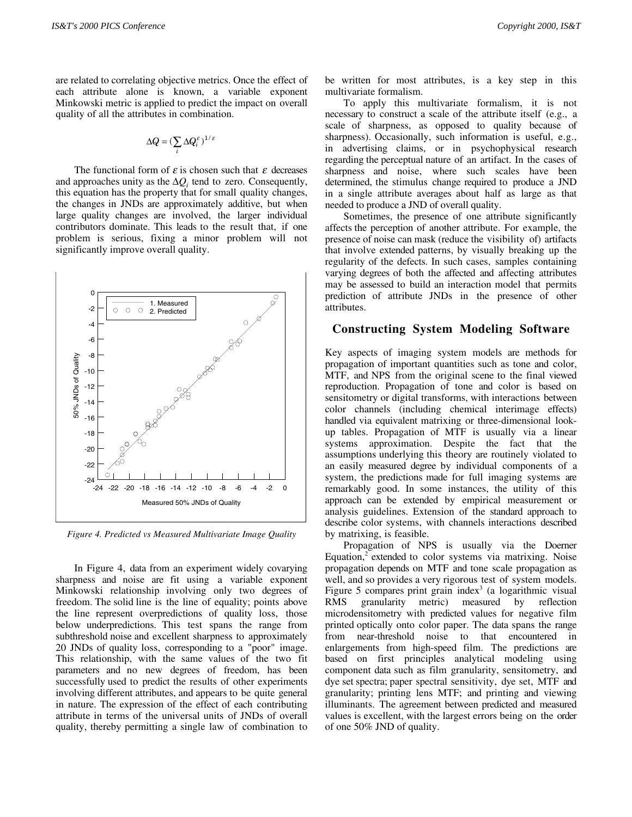are related to correlating objective metrics. Once the effect of each attribute alone is known, a variable exponent Minkowski metric is applied to predict the impact on overall quality of all the attributes in combination.

$$
\Delta Q = (\sum_i \Delta Q_i^{\varepsilon})^{1/\varepsilon}
$$

The functional form of  $\varepsilon$  is chosen such that  $\varepsilon$  decreases and approaches unity as the  $\Delta Q_i$  tend to zero. Consequently, this equation has the property that for small quality changes, the changes in JNDs are approximately additive, but when large quality changes are involved, the larger individual contributors dominate. This leads to the result that, if one problem is serious, fixing a minor problem will not significantly improve overall quality.



*Figure 4. Predicted vs Measured Multivariate Image Quality*

In Figure 4, data from an experiment widely covarying sharpness and noise are fit using a variable exponent Minkowski relationship involving only two degrees of freedom. The solid line is the line of equality; points above the line represent overpredictions of quality loss, those below underpredictions. This test spans the range from subthreshold noise and excellent sharpness to approximately 20 JNDs of quality loss, corresponding to a "poor" image. This relationship, with the same values of the two fit parameters and no new degrees of freedom, has been successfully used to predict the results of other experiments involving different attributes, and appears to be quite general in nature. The expression of the effect of each contributing attribute in terms of the universal units of JNDs of overall quality, thereby permitting a single law of combination to be written for most attributes, is a key step in this multivariate formalism.

To apply this multivariate formalism, it is not necessary to construct a scale of the attribute itself (e.g., a scale of sharpness, as opposed to quality because of sharpness). Occasionally, such information is useful, e.g., in advertising claims, or in psychophysical research regarding the perceptual nature of an artifact. In the cases of sharpness and noise, where such scales have been determined, the stimulus change required to produce a JND in a single attribute averages about half as large as that needed to produce a JND of overall quality.

Sometimes, the presence of one attribute significantly affects the perception of another attribute. For example, the presence of noise can mask (reduce the visibility of) artifacts that involve extended patterns, by visually breaking up the regularity of the defects. In such cases, samples containing varying degrees of both the affected and affecting attributes may be assessed to build an interaction model that permits prediction of attribute JNDs in the presence of other attributes.

#### **Constructing System Modeling Software**

Key aspects of imaging system models are methods for propagation of important quantities such as tone and color, MTF, and NPS from the original scene to the final viewed reproduction. Propagation of tone and color is based on sensitometry or digital transforms, with interactions between color channels (including chemical interimage effects) handled via equivalent matrixing or three-dimensional lookup tables. Propagation of MTF is usually via a linear systems approximation. Despite the fact that the assumptions underlying this theory are routinely violated to an easily measured degree by individual components of a system, the predictions made for full imaging systems are remarkably good. In some instances, the utility of this approach can be extended by empirical measurement or analysis guidelines. Extension of the standard approach to describe color systems, with channels interactions described by matrixing, is feasible.

Propagation of NPS is usually via the Doerner Equation,<sup>2</sup> extended to color systems via matrixing. Noise propagation depends on MTF and tone scale propagation as well, and so provides a very rigorous test of system models. Figure 5 compares print grain index<sup>3</sup> (a logarithmic visual RMS granularity metric) measured by reflection microdensitometry with predicted values for negative film printed optically onto color paper. The data spans the range from near-threshold noise to that encountered in enlargements from high-speed film. The predictions are based on first principles analytical modeling using component data such as film granularity, sensitometry, and dye set spectra; paper spectral sensitivity, dye set, MTF and granularity; printing lens MTF; and printing and viewing illuminants. The agreement between predicted and measured values is excellent, with the largest errors being on the order of one 50% JND of quality.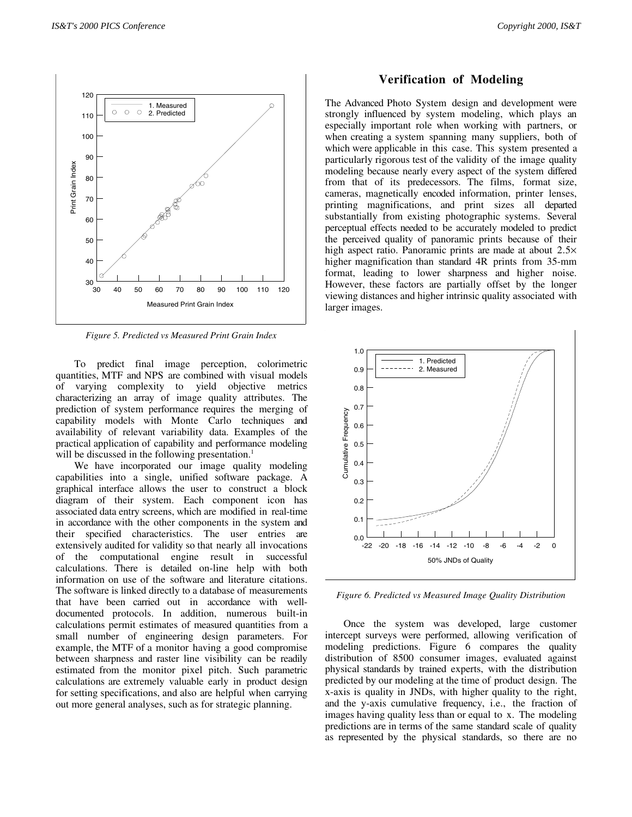

*Figure 5. Predicted vs Measured Print Grain Index*

To predict final image perception, colorimetric quantities, MTF and NPS are combined with visual models of varying complexity to yield objective metrics characterizing an array of image quality attributes. The prediction of system performance requires the merging of capability models with Monte Carlo techniques and availability of relevant variability data. Examples of the practical application of capability and performance modeling will be discussed in the following presentation.<sup>1</sup>

We have incorporated our image quality modeling capabilities into a single, unified software package. A graphical interface allows the user to construct a block diagram of their system. Each component icon has associated data entry screens, which are modified in real-time in accordance with the other components in the system and their specified characteristics. The user entries are extensively audited for validity so that nearly all invocations of the computational engine result in successful calculations. There is detailed on-line help with both information on use of the software and literature citations. The software is linked directly to a database of measurements that have been carried out in accordance with welldocumented protocols. In addition, numerous built-in calculations permit estimates of measured quantities from a small number of engineering design parameters. For example, the MTF of a monitor having a good compromise between sharpness and raster line visibility can be readily estimated from the monitor pixel pitch. Such parametric calculations are extremely valuable early in product design for setting specifications, and also are helpful when carrying out more general analyses, such as for strategic planning.

# **Verification of Modeling**

The Advanced Photo System design and development were strongly influenced by system modeling, which plays an especially important role when working with partners, or when creating a system spanning many suppliers, both of which were applicable in this case. This system presented a particularly rigorous test of the validity of the image quality modeling because nearly every aspect of the system differed from that of its predecessors. The films, format size, cameras, magnetically encoded information, printer lenses, printing magnifications, and print sizes all departed substantially from existing photographic systems. Several perceptual effects needed to be accurately modeled to predict the perceived quality of panoramic prints because of their high aspect ratio. Panoramic prints are made at about  $2.5\times$ higher magnification than standard 4R prints from 35-mm format, leading to lower sharpness and higher noise. However, these factors are partially offset by the longer viewing distances and higher intrinsic quality associated with larger images.



*Figure 6. Predicted vs Measured Image Quality Distribution*

Once the system was developed, large customer intercept surveys were performed, allowing verification of modeling predictions. Figure 6 compares the quality distribution of 8500 consumer images, evaluated against physical standards by trained experts, with the distribution predicted by our modeling at the time of product design. The x-axis is quality in JNDs, with higher quality to the right, and the y-axis cumulative frequency, i.e., the fraction of images having quality less than or equal to x. The modeling predictions are in terms of the same standard scale of quality as represented by the physical standards, so there are no